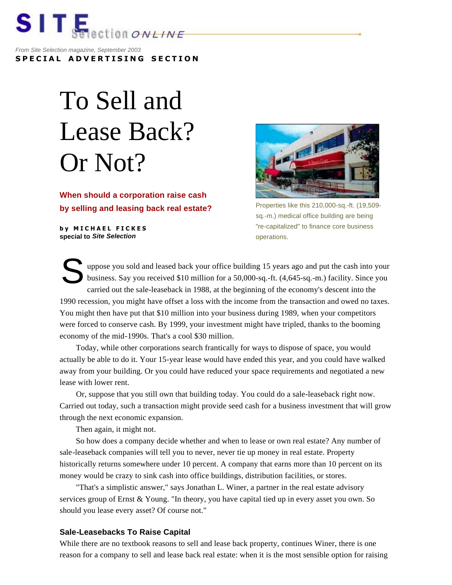

*From Site Selection magazine, September 2003* **SPECIAL ADVERTISING SECTION**

## To Sell and Lease Back? Or Not?

**When should a corporation raise cash by selling and leasing back real estate?** 

**by MICHAEL FICKES special to** *Site Selection*



Properties like this 210,000-sq.-ft. (19,509 sq.-m.) medical office building are being "re-capitalized" to finance core business operations.

uppose you sold and leased back your office building 15 years ago and put the cash into your business. Say you received \$10 million for a 50,000-sq.-ft. (4,645-sq.-m.) facility. Since you carried out the sale-leaseback in 1988, at the beginning of the economy's descent into the 1990 recession, you might have offset a loss with the income from the transaction and owed no taxes. You might then have put that \$10 million into your business during 1989, when your competitors were forced to conserve cash. By 1999, your investment might have tripled, thanks to the booming economy of the mid-1990s. That's a cool \$30 million. S

 Today, while other corporations search frantically for ways to dispose of space, you would actually be able to do it. Your 15-year lease would have ended this year, and you could have walked away from your building. Or you could have reduced your space requirements and negotiated a new lease with lower rent.

 Or, suppose that you still own that building today. You could do a sale-leaseback right now. Carried out today, such a transaction might provide seed cash for a business investment that will grow through the next economic expansion.

Then again, it might not.

 So how does a company decide whether and when to lease or own real estate? Any number of sale-leaseback companies will tell you to never, never tie up money in real estate. Property historically returns somewhere under 10 percent. A company that earns more than 10 percent on its money would be crazy to sink cash into office buildings, distribution facilities, or stores.

 "That's a simplistic answer," says Jonathan L. Winer, a partner in the real estate advisory services group of Ernst & Young. "In theory, you have capital tied up in every asset you own. So should you lease every asset? Of course not."

## **Sale-Leasebacks To Raise Capital**

While there are no textbook reasons to sell and lease back property, continues Winer, there is one reason for a company to sell and lease back real estate: when it is the most sensible option for raising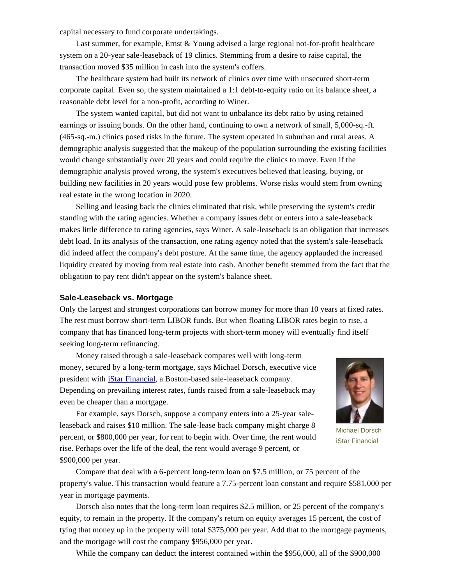capital necessary to fund corporate undertakings.

Last summer, for example, Ernst & Young advised a large regional not-for-profit healthcare system on a 20-year sale-leaseback of 19 clinics. Stemming from a desire to raise capital, the transaction moved \$35 million in cash into the system's coffers.

 The healthcare system had built its network of clinics over time with unsecured short-term corporate capital. Even so, the system maintained a 1:1 debt-to-equity ratio on its balance sheet, a reasonable debt level for a non-profit, according to Winer.

 The system wanted capital, but did not want to unbalance its debt ratio by using retained earnings or issuing bonds. On the other hand, continuing to own a network of small, 5,000-sq.-ft. (465-sq.-m.) clinics posed risks in the future. The system operated in suburban and rural areas. A demographic analysis suggested that the makeup of the population surrounding the existing facilities would change substantially over 20 years and could require the clinics to move. Even if the demographic analysis proved wrong, the system's executives believed that leasing, buying, or building new facilities in 20 years would pose few problems. Worse risks would stem from owning real estate in the wrong location in 2020.

 Selling and leasing back the clinics eliminated that risk, while preserving the system's credit standing with the rating agencies. Whether a company issues debt or enters into a sale-leaseback makes little difference to rating agencies, says Winer. A sale-leaseback is an obligation that increases debt load. In its analysis of the transaction, one rating agency noted that the system's sale-leaseback did indeed affect the company's debt posture. At the same time, the agency applauded the increased liquidity created by moving from real estate into cash. Another benefit stemmed from the fact that the obligation to pay rent didn't appear on the system's balance sheet.

## **Sale-Leaseback vs. Mortgage**

Only the largest and strongest corporations can borrow money for more than 10 years at fixed rates. The rest must borrow short-term LIBOR funds. But when floating LIBOR rates begin to rise, a company that has financed long-term projects with short-term money will eventually find itself seeking long-term refinancing.

 Money raised through a sale-leaseback compares well with long-term money, secured by a long-term mortgage, says Michael Dorsch, executive vice president with iStar Financial, a Boston-based sale-leaseback company. Depending on prevailing interest rates, funds raised from a sale-leaseback may even be cheaper than a mortgage.



Michael Dorsch iStar Financial

 For example, says Dorsch, suppose a company enters into a 25-year saleleaseback and raises \$10 million. The sale-lease back company might charge 8 percent, or \$800,000 per year, for rent to begin with. Over time, the rent would rise. Perhaps over the life of the deal, the rent would average 9 percent, or \$900,000 per year.

 Compare that deal with a 6-percent long-term loan on \$7.5 million, or 75 percent of the property's value. This transaction would feature a 7.75-percent loan constant and require \$581,000 per year in mortgage payments.

 Dorsch also notes that the long-term loan requires \$2.5 million, or 25 percent of the company's equity, to remain in the property. If the company's return on equity averages 15 percent, the cost of tying that money up in the property will total \$375,000 per year. Add that to the mortgage payments, and the mortgage will cost the company \$956,000 per year.

While the company can deduct the interest contained within the \$956,000, all of the \$900,000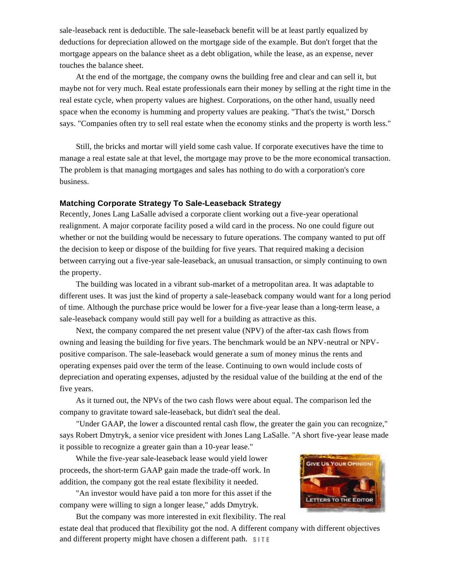sale-leaseback rent is deductible. The sale-leaseback benefit will be at least partly equalized by deductions for depreciation allowed on the mortgage side of the example. But don't forget that the mortgage appears on the balance sheet as a debt obligation, while the lease, as an expense, never touches the balance sheet.

 At the end of the mortgage, the company owns the building free and clear and can sell it, but maybe not for very much. Real estate professionals earn their money by selling at the right time in the real estate cycle, when property values are highest. Corporations, on the other hand, usually need space when the economy is humming and property values are peaking. "That's the twist," Dorsch says. "Companies often try to sell real estate when the economy stinks and the property is worth less."

 Still, the bricks and mortar will yield some cash value. If corporate executives have the time to manage a real estate sale at that level, the mortgage may prove to be the more economical transaction. The problem is that managing mortgages and sales has nothing to do with a corporation's core business.

## **Matching Corporate Strategy To Sale-Leaseback Strategy**

Recently, Jones Lang LaSalle advised a corporate client working out a five-year operational realignment. A major corporate facility posed a wild card in the process. No one could figure out whether or not the building would be necessary to future operations. The company wanted to put off the decision to keep or dispose of the building for five years. That required making a decision between carrying out a five-year sale-leaseback, an unusual transaction, or simply continuing to own the property.

 The building was located in a vibrant sub-market of a metropolitan area. It was adaptable to different uses. It was just the kind of property a sale-leaseback company would want for a long period of time. Although the purchase price would be lower for a five-year lease than a long-term lease, a sale-leaseback company would still pay well for a building as attractive as this.

 Next, the company compared the net present value (NPV) of the after-tax cash flows from owning and leasing the building for five years. The benchmark would be an NPV-neutral or NPVpositive comparison. The sale-leaseback would generate a sum of money minus the rents and operating expenses paid over the term of the lease. Continuing to own would include costs of depreciation and operating expenses, adjusted by the residual value of the building at the end of the five years.

 As it turned out, the NPVs of the two cash flows were about equal. The comparison led the company to gravitate toward sale-leaseback, but didn't seal the deal.

 "Under GAAP, the lower a discounted rental cash flow, the greater the gain you can recognize," says Robert Dmytryk, a senior vice president with Jones Lang LaSalle. "A short five-year lease made it possible to recognize a greater gain than a 10-year lease."

 While the five-year sale-leaseback lease would yield lower proceeds, the short-term GAAP gain made the trade-off work. In addition, the company got the real estate flexibility it needed.

 "An investor would have paid a ton more for this asset if the company were willing to sign a longer lease," adds Dmytryk.



 But the company was more interested in exit flexibility. The real estate deal that produced that flexibility got the nod. A different company with different objectives and different property might have chosen a different path. SITE